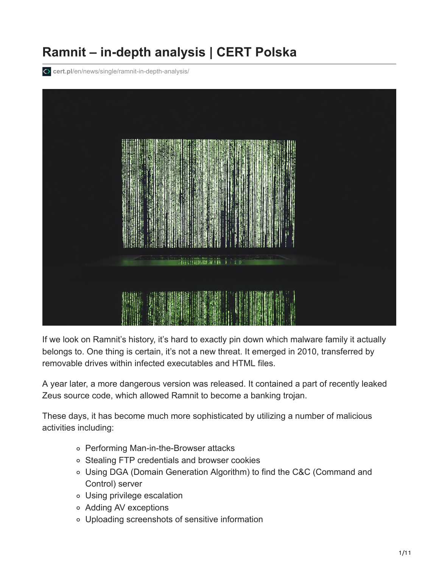# **Ramnit – in-depth analysis | CERT Polska**

**cert.pl**[/en/news/single/ramnit-in-depth-analysis/](https://www.cert.pl/en/news/single/ramnit-in-depth-analysis/)



If we look on Ramnit's history, it's hard to exactly pin down which malware family it actually belongs to. One thing is certain, it's not a new threat. It emerged in 2010, transferred by removable drives within infected executables and HTML files.

A year later, a more dangerous version was released. It contained a part of recently leaked Zeus source code, which allowed Ramnit to become a banking trojan.

These days, it has become much more sophisticated by utilizing a number of malicious activities including:

- Performing Man-in-the-Browser attacks
- o Stealing FTP credentials and browser cookies
- Using DGA (Domain Generation Algorithm) to find the C&C (Command and Control) server
- Using privilege escalation
- Adding AV exceptions
- Uploading screenshots of sensitive information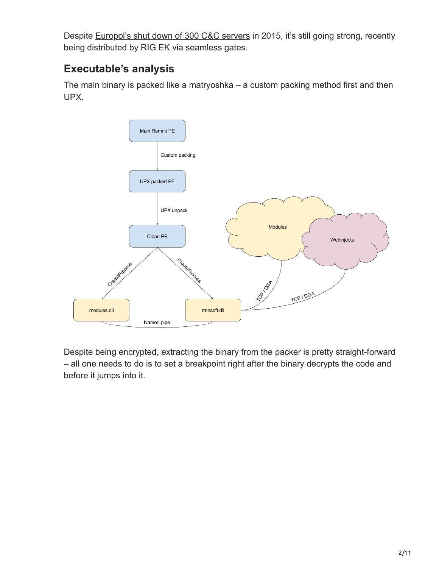Despite [Europol's shut down of 300 C&C servers](https://www.europol.europa.eu/newsroom/news/botnet-taken-down-through-international-law-enforcement-cooperation) in 2015, it's still going strong, recently being distributed by RIG EK via seamless gates.

# **Executable's analysis**

The main binary is packed like a matryoshka – a custom packing method first and then UPX.



Despite being encrypted, extracting the binary from the packer is pretty straight-forward – all one needs to do is to set a breakpoint right after the binary decrypts the code and before it jumps into it.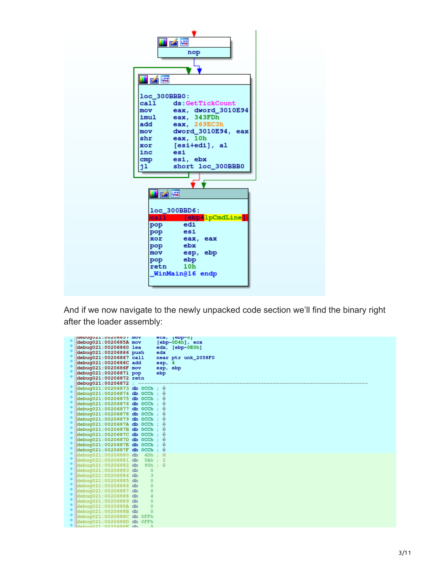

And if we now navigate to the newly unpacked code section we'll find the binary right after the loader assembly:

|  | depuguzi: uuzuboo / mov                                                  |          |          | ecx, [epp-o]        |
|--|--------------------------------------------------------------------------|----------|----------|---------------------|
|  | debug021:0020685A mov                                                    |          |          | $[ebp-0D4h]$ , ecx  |
|  | debug021:00206860 lea                                                    |          |          | edx, [ebp-0E0h]     |
|  | debug021:00206866 push                                                   |          | edx      |                     |
|  | debug021:00206867 call                                                   |          |          | near ptr unk_2058F0 |
|  | debug021:0020686C add                                                    |          | esp, 4   |                     |
|  | debug021:0020686F mov                                                    |          | esp, ebp |                     |
|  | debug021:00206871 pop                                                    |          | ebp      |                     |
|  | debug021:00206872 retn                                                   |          |          |                     |
|  | debug021:00206872                                                        |          |          |                     |
|  | $\delta$ debug021:00206873 db 0CCh; $\hat{\varphi}$                      |          |          |                     |
|  | debug021:00206874 db 0CCh;                                               |          | €        |                     |
|  | $\text{debuq021:00206875}$ db 0CCh;                                      |          | ⊕        |                     |
|  | debug021:00206876 db 0CCh;                                               |          | €        |                     |
|  | debug021:00206877 db 0CCh;                                               |          | ⊕        |                     |
|  | $debuq021:00206878$ db $0CCh$ ;                                          |          | ⊕        |                     |
|  | $\text{debuq021:00206879}$ db 0CCh;                                      |          | ⊕        |                     |
|  | $\text{debuq021:0020687A}$ db 0CCh;                                      |          | ©        |                     |
|  | $\text{debuq021:0020687B}$ db 0CCh;                                      |          | ©        |                     |
|  | $\text{debuq021:0020687C}$ db 0CCh;                                      |          | ⊕        |                     |
|  | $debuq021:0020687D$ db $0CCh$ ;                                          |          | ⊕        |                     |
|  | $\text{debuq021:0020687E}$ db 0CCh;                                      |          | ⊕        |                     |
|  | $\phi$ debug021:0020687F db 0CCh; $\hat{\phi}$                           |          |          |                     |
|  | debug021:00206880 db 4Dh; M                                              |          |          |                     |
|  | $deluq021:00206881$ db 5Ah ; Z                                           |          |          |                     |
|  | $\det \left( \frac{1}{2} \right)$ debug021:00206882 db 90h; $\hat{\psi}$ |          |          |                     |
|  | debug021:00206883 db                                                     | $\Omega$ |          |                     |
|  | debug021:00206884 db                                                     | 3        |          |                     |
|  | debug021:00206885 db                                                     | $\Omega$ |          |                     |
|  | debug021:00206886 db                                                     | $\Omega$ |          |                     |
|  | debug021:00206887 db                                                     | $\Omega$ |          |                     |
|  | debug021:00206888 db                                                     | 4        |          |                     |
|  | debug021:00206889 db                                                     | $\Omega$ |          |                     |
|  | debug021:0020688A db                                                     | $\Omega$ |          |                     |
|  | debuq021:0020688B db                                                     | $\Omega$ |          |                     |
|  | debug021:0020688C db OFFh                                                |          |          |                     |
|  | debug021:0020688D db OFFh                                                |          |          |                     |
|  | debug021:0020688E db                                                     |          |          |                     |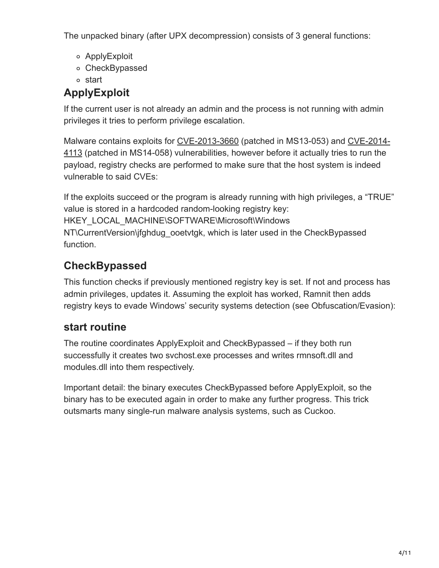The unpacked binary (after UPX decompression) consists of 3 general functions:

- ApplyExploit
- CheckBypassed
- start

# **ApplyExploit**

If the current user is not already an admin and the process is not running with admin privileges it tries to perform privilege escalation.

Malware contains exploits for [CVE-2013-3660](http://www.cve.mitre.org/cgi-bin/cvename.cgi?name=cve-2013-3660) (patched in MS13-053) and CVE-2014- 4113 [\(patched in MS14-058\) vulnerabilities, however before it actually tries to run the](http://www.cve.mitre.org/cgi-bin/cvename.cgi?name=cve-2014-4113) payload, registry checks are performed to make sure that the host system is indeed vulnerable to said CVEs:

If the exploits succeed or the program is already running with high privileges, a "TRUE" value is stored in a hardcoded random-looking registry key: HKEY\_LOCAL\_MACHINE\SOFTWARE\Microsoft\Windows NT\CurrentVersion\jfghdug\_ooetvtgk, which is later used in the CheckBypassed function.

# **CheckBypassed**

This function checks if previously mentioned registry key is set. If not and process has admin privileges, updates it. Assuming the exploit has worked, Ramnit then adds registry keys to evade Windows' security systems detection (see Obfuscation/Evasion):

# **start routine**

The routine coordinates ApplyExploit and CheckBypassed – if they both run successfully it creates two svchost.exe processes and writes rmnsoft.dll and modules.dll into them respectively.

Important detail: the binary executes CheckBypassed before ApplyExploit, so the binary has to be executed again in order to make any further progress. This trick outsmarts many single-run malware analysis systems, such as Cuckoo.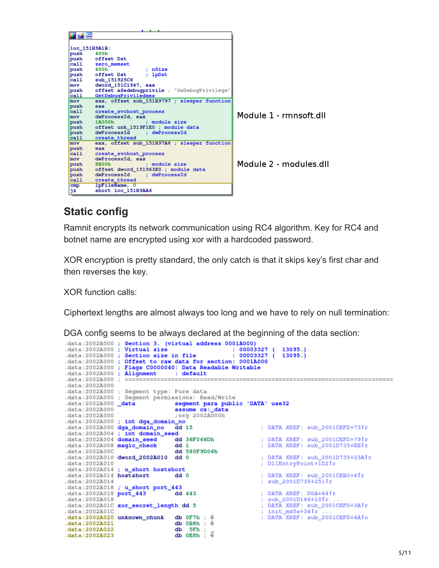

### **Static config**

Ramnit encrypts its network communication using RC4 algorithm. Key for RC4 and botnet name are encrypted using xor with a hardcoded password.

XOR encryption is pretty standard, the only catch is that it skips key's first char and then reverses the key.

XOR function calls:

Ciphertext lengths are almost always too long and we have to rely on null termination:

DGA config seems to be always declared at the beginning of the data section:

|                              | .data:2002A000 ; Section 3. (virtual address 0001A000)<br>.data:2002A000 : Virtual size<br>data:2002A000; Section size in file : 00003327 (<br>.data:2002A000 ; Offset to raw data for section: 0001A000<br>.data:2002A000 ; Flags C0000040: Data Readable Writable | $: 00003327$ ( 13095.)      | 13095.                          |
|------------------------------|---------------------------------------------------------------------------------------------------------------------------------------------------------------------------------------------------------------------------------------------------------------------|-----------------------------|---------------------------------|
|                              | .data:2002A000 ; Alignment : default                                                                                                                                                                                                                                |                             |                                 |
| .data:2002A000 :             |                                                                                                                                                                                                                                                                     |                             |                                 |
| .data: 2002A000              |                                                                                                                                                                                                                                                                     |                             |                                 |
|                              | .data:2002A000 ; Seqment type: Pure data                                                                                                                                                                                                                            |                             |                                 |
|                              | .data:2002A000 ; Seqment permissions: Read/Write                                                                                                                                                                                                                    |                             |                                 |
|                              | .data:2002A000 data segment para public 'DATA' use32                                                                                                                                                                                                                |                             |                                 |
| .data:2002A000               |                                                                                                                                                                                                                                                                     | assume cs: data             |                                 |
| .data:2002A000               |                                                                                                                                                                                                                                                                     | ; org 2002A000h             |                                 |
|                              | .data:2002A000 ; int dga_domain_no                                                                                                                                                                                                                                  |                             |                                 |
| .data:2002A000 dga_domain_no |                                                                                                                                                                                                                                                                     | dd <sub>15</sub>            | ; DATA XREF: sub 2001CEFD+731r  |
|                              | .data:2002A004 ; int domain_seed                                                                                                                                                                                                                                    |                             |                                 |
|                              | .data:2002A004 domain_seed dd 36F066Dh                                                                                                                                                                                                                              |                             | ; DATA XREF: sub_2001CEFD+791r  |
|                              | .data:2002A008 magic_check dd 1                                                                                                                                                                                                                                     |                             | : DATA XREF: sub 2001D735+EBIr  |
| .data: 2002A00C              | dd 580F9D06h                                                                                                                                                                                                                                                        |                             |                                 |
| .data:2002A010               | .data:2002A010 dword_2002A010 dd 0                                                                                                                                                                                                                                  |                             | ; DATA XREF: sub 2001D735+23A1r |
|                              |                                                                                                                                                                                                                                                                     |                             | ; DllEntryPoint+1D2 fr          |
| .data:2002A014 hostshort     | .data:2002A014 ; u short hostshort<br>dd <sub>0</sub>                                                                                                                                                                                                               |                             | ; DATA XREF: sub 2001CEB0+6 $r$ |
| .data:2002A014               |                                                                                                                                                                                                                                                                     |                             | ; sub 2001D735+2511r            |
|                              | .data:2002A018 ; u_short port_443                                                                                                                                                                                                                                   |                             |                                 |
|                              | data:2002A018 port_443                                                                                                                                                                                                                                              | dd 443                      | : DATA XREF: DGA+641r           |
| .data:2002A018               |                                                                                                                                                                                                                                                                     |                             | ; sub_2001D166+10fr             |
|                              | .data:2002A01C xor_secret_length dd 5                                                                                                                                                                                                                               |                             | ; DATA XREF: sub_2001CEFD+3A1r  |
| .data:2002A01C               |                                                                                                                                                                                                                                                                     |                             | ; $init_m d5s + 341r$           |
|                              | .data:2002A020 unknown chunk                                                                                                                                                                                                                                        | db $0F7h$ ; $\hat{\varphi}$ | ; DATA XREF: sub_2001CEFD+4A1o  |
| .data:2002A021               |                                                                                                                                                                                                                                                                     | $db$ $0B8h$ ;               |                                 |
| .data:2002A022               | db                                                                                                                                                                                                                                                                  | 5Fh :                       |                                 |
| .data:2002A023               |                                                                                                                                                                                                                                                                     | ō<br>$db$ $0E8h$ :          |                                 |
|                              |                                                                                                                                                                                                                                                                     |                             |                                 |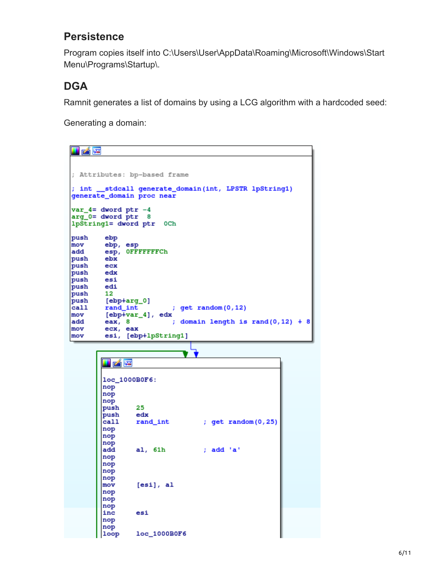## **Persistence**

Program copies itself into C:\Users\User\AppData\Roaming\Microsoft\Windows\Start Menu\Programs\Startup\.

# **DGA**

Ramnit generates a list of domains by using a LCG algorithm with a hardcoded seed:

Generating a domain:

| 凶降                                                                                 |                                             |  |  |  |  |  |  |
|------------------------------------------------------------------------------------|---------------------------------------------|--|--|--|--|--|--|
|                                                                                    |                                             |  |  |  |  |  |  |
|                                                                                    | ; Attributes: bp-based frame                |  |  |  |  |  |  |
| ; int __stdcall generate_domain(int, LPSTR lpString1)<br>generate_domain proc near |                                             |  |  |  |  |  |  |
|                                                                                    | $var_4$ = dword ptr -4                      |  |  |  |  |  |  |
|                                                                                    | arg 0= dword ptr 8                          |  |  |  |  |  |  |
|                                                                                    | lpString1= dword ptr<br>0Ch                 |  |  |  |  |  |  |
| push                                                                               | ebp                                         |  |  |  |  |  |  |
| mov                                                                                | ebp, esp                                    |  |  |  |  |  |  |
| ladd                                                                               | esp, OFFFFFFFCh                             |  |  |  |  |  |  |
| push                                                                               | ebx                                         |  |  |  |  |  |  |
| push                                                                               | ecx                                         |  |  |  |  |  |  |
| push edx                                                                           |                                             |  |  |  |  |  |  |
| push                                                                               | esi                                         |  |  |  |  |  |  |
| push                                                                               | edi                                         |  |  |  |  |  |  |
| push                                                                               | 12                                          |  |  |  |  |  |  |
| push                                                                               | [ebp+arq_0]                                 |  |  |  |  |  |  |
| call                                                                               | rand int<br>; get random(0,12)              |  |  |  |  |  |  |
| mov                                                                                | $[ebp+var_4]$ , edx                         |  |  |  |  |  |  |
| add                                                                                | ; domain length is rand(0,12) + 8<br>eax, 8 |  |  |  |  |  |  |
| mov                                                                                | ecx, eax                                    |  |  |  |  |  |  |
| mov                                                                                | esi, [ebp+lpString1]                        |  |  |  |  |  |  |

| 凶降         |                |                    |
|------------|----------------|--------------------|
|            |                |                    |
|            | loc_1000B0F6:  |                    |
| nop        |                |                    |
| nop        |                |                    |
| nop        |                |                    |
| push       | 25             |                    |
| push edx   |                |                    |
| call       | rand_int       | ; get random(0,25) |
| nop        |                |                    |
| nop        |                |                    |
| nop<br>add | al, 61h        | ; add 'a'          |
|            |                |                    |
| nop        |                |                    |
| nop        |                |                    |
| nop<br>nop |                |                    |
| mov        | [esi], al      |                    |
| nop        |                |                    |
| nop        |                |                    |
| nop        |                |                    |
| inc        | esi            |                    |
| nop        |                |                    |
| nop        |                |                    |
| loop       | $loc_1000B0F6$ |                    |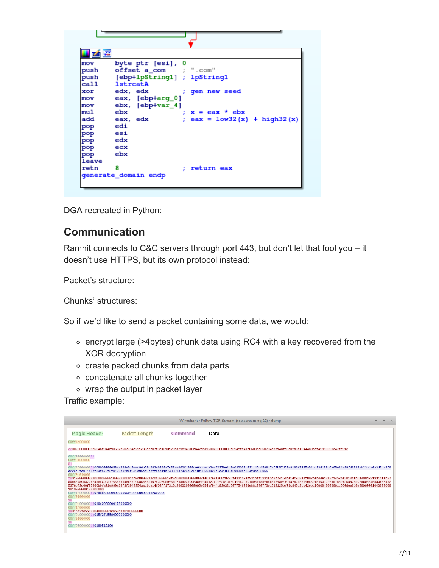| <b>Lym</b> |                                          |
|------------|------------------------------------------|
| mov        | byte ptr [esi], 0                        |
| push       | offset a_com ; ".com"                    |
| push       | [ebp+1pString1] ; lpString1              |
| call       | lstrcatA                                 |
| xor        | edx, edx<br>; gen new seed               |
| mov        | eax, [ebp+arg_0]                         |
| mov        | ebx, [ebp+var_4]                         |
| mul        | ebx<br>$x = eax * ebx$                   |
| add        | $eax = 1ow32(x) + high32(x)$<br>eax, edx |
| pop        | edi                                      |
| pop        | esi                                      |
| pop        | edx                                      |
| pop        | ecx                                      |
| pop        | ebx                                      |
| leave      |                                          |
| retn       | 8<br>return eax                          |
|            | generate_domain endp                     |
|            |                                          |
|            |                                          |

DGA recreated in Python:

### **Communication**

Ramnit connects to C&C servers through port 443, but don't let that fool you – it doesn't use HTTPS, but its own protocol instead:

Packet's structure:

Chunks' structures:

So if we'd like to send a packet containing some data, we would:

- encrypt large (>4bytes) chunk data using RC4 with a key recovered from the XOR decryption
- create packed chunks from data parts
- concatenate all chunks together
- wrap the output in packet layer

Traffic example:

| Wireshark · Follow TCP Stream (tcp.stream eq 22) · dump                                                                                                                                                                                                                           |                                                             |         |                                                                                                                                                                                                                                                                                                                                                                                                                                                                                                                                                                                                                                                                                                                                                                                                                                                  |  |  |  |  |
|-----------------------------------------------------------------------------------------------------------------------------------------------------------------------------------------------------------------------------------------------------------------------------------|-------------------------------------------------------------|---------|--------------------------------------------------------------------------------------------------------------------------------------------------------------------------------------------------------------------------------------------------------------------------------------------------------------------------------------------------------------------------------------------------------------------------------------------------------------------------------------------------------------------------------------------------------------------------------------------------------------------------------------------------------------------------------------------------------------------------------------------------------------------------------------------------------------------------------------------------|--|--|--|--|
| Magic Header                                                                                                                                                                                                                                                                      | Packet Length                                               | Command | Data                                                                                                                                                                                                                                                                                                                                                                                                                                                                                                                                                                                                                                                                                                                                                                                                                                             |  |  |  |  |
| 00ff4b000000                                                                                                                                                                                                                                                                      |                                                             |         |                                                                                                                                                                                                                                                                                                                                                                                                                                                                                                                                                                                                                                                                                                                                                                                                                                                  |  |  |  |  |
| e200200000005e654bf944b93632c607754f291e88c7f07f3e1613125ba71c94510bb42ebd160020000005c614efc41b8603bc350704a7d148fc5a02d6a1644480daf41910258e47fe91e                                                                                                                             |                                                             |         |                                                                                                                                                                                                                                                                                                                                                                                                                                                                                                                                                                                                                                                                                                                                                                                                                                                  |  |  |  |  |
| 00ff0100000001<br>00ff01000000<br>00ff0d010000<br>1010000000100000000<br>00ff01000000<br>00ff0b00000018010a0000000178000000<br>00ff14000000<br>1a015f2fe55800040000001c660dee0100000000<br>00ff0b0000001a015f2fe5580000000000<br>00ff01000000<br>00ff0600000016 <b>0180510100</b> | 00ff14000000f0 <b>02dcc50000000000001000000000132000000</b> |         | 00ff8600000051008000000058aa428e519aec96b58d683e6349a7c20aed60f1909ce6bd4eca3eaf437be1d8e032023b332145d4598c7af7b57d53e9166f9185a51cd234109b6a65e14a89f40013ab23b4a0a3d7da2f0<br>a22ee3fa07118ef34fc72f3fb129c92bef679a95cc9beffdcd11b748981d7423d3e618f58603923a0c41839459030bb364f3be53055<br>f0010000000001000000001000000001000000014c0d0000014c0d0000014f0d00000a7000000f4037e9a768f0203f434112ef931bff5931a5c2f74151be14c93014f802deb44eb710c14524e3810cfb5a4d0d2019314feb27<br>d0dab7a0b370d2d3ea60834765c5c1deb44809c5e4e8407a307980f66874a893700b3ef11d5427698f2c131c9411532d94d0a11a8fbccc5e1394f01a7c28f681965315463832bd57ac3f35ca7c80fdb0c67b830fd4d52<br>5376bf3d66f95460b9fa01e990a64f3f3948354aac1ce14f03ff173c6c26002000005e654bf944b93632c607754f291e88c7f07f3e1613125ba71c94510bb42ebd1600040000001c660dee010a000001040000001 |  |  |  |  |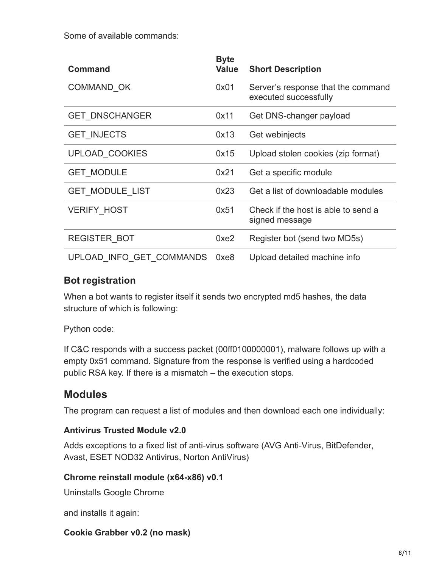Some of available commands:

| <b>Command</b>           | <b>Byte</b><br><b>Value</b> | <b>Short Description</b>                                    |
|--------------------------|-----------------------------|-------------------------------------------------------------|
| COMMAND OK               | 0x01                        | Server's response that the command<br>executed successfully |
| <b>GET DNSCHANGER</b>    | 0x11                        | Get DNS-changer payload                                     |
| <b>GET INJECTS</b>       | 0x13                        | Get webinjects                                              |
| <b>UPLOAD COOKIES</b>    | 0x15                        | Upload stolen cookies (zip format)                          |
| <b>GET MODULE</b>        | 0x21                        | Get a specific module                                       |
| <b>GET MODULE LIST</b>   | 0x23                        | Get a list of downloadable modules                          |
| <b>VERIFY HOST</b>       | 0x51                        | Check if the host is able to send a<br>signed message       |
| <b>REGISTER BOT</b>      | 0xe2                        | Register bot (send two MD5s)                                |
| UPLOAD INFO GET COMMANDS | 0xe8                        | Upload detailed machine info                                |

### **Bot registration**

When a bot wants to register itself it sends two encrypted md5 hashes, the data structure of which is following:

#### Python code:

If C&C responds with a success packet (00ff0100000001), malware follows up with a empty 0x51 command. Signature from the response is verified using a hardcoded public RSA key. If there is a mismatch – the execution stops.

### **Modules**

The program can request a list of modules and then download each one individually:

#### **Antivirus Trusted Module v2.0**

Adds exceptions to a fixed list of anti-virus software (AVG Anti-Virus, BitDefender, Avast, ESET NOD32 Antivirus, Norton AntiVirus)

#### **Chrome reinstall module (x64-x86) v0.1**

Uninstalls Google Chrome

and installs it again:

#### **Cookie Grabber v0.2 (no mask)**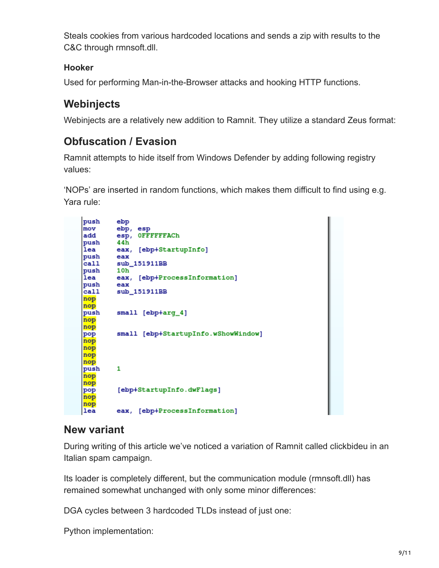Steals cookies from various hardcoded locations and sends a zip with results to the C&C through rmnsoft.dll.

#### **Hooker**

Used for performing Man-in-the-Browser attacks and hooking HTTP functions.

## **Webinjects**

Webinjects are a relatively new addition to Ramnit. They utilize a standard Zeus format:

## **Obfuscation / Evasion**

Ramnit attempts to hide itself from Windows Defender by adding following registry values:

'NOPs' are inserted in random functions, which makes them difficult to find using e.g. Yara rule:

```
push
        ebp
mov
        ebp, esp
        esp, OFFFFFFACh
add
push
        44h
lea
        eax, [ebp+StartupInfo]
push
        eax
cal 1sub_151911BB
push
        10h
        eax, [ebp+ProcessInformation]
lea
push
        eax
cal1sub_151911BB
nop
nop
        small [ebp+arq_4]
push
nop
nop
        small [ebp+StartupInfo.wShowWindow]
pop
nop
nop
nop
nop
        1
push
nop
nop
pop
        [ebp+StartupInfo.dwFlags]
nop
nop
        eax, [ebp+ProcessInformation]
lea
```
### **New variant**

During writing of this article we've noticed a variation of Ramnit called clickbideu in an Italian spam campaign.

Its loader is completely different, but the communication module (rmnsoft.dll) has remained somewhat unchanged with only some minor differences:

DGA cycles between 3 hardcoded TLDs instead of just one:

Python implementation: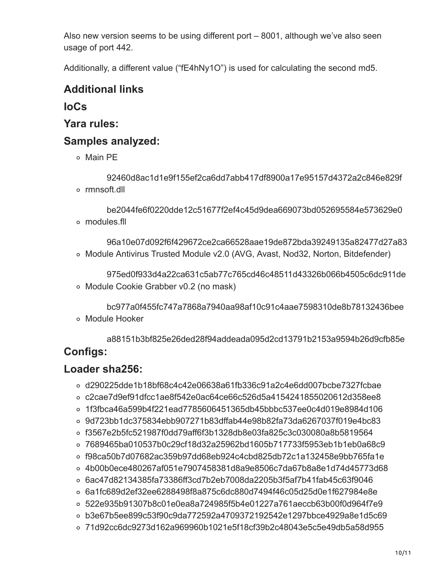Also new version seems to be using different port – 8001, although we've also seen usage of port 442.

Additionally, a different value ("fE4hNy1O") is used for calculating the second md5.

## **Additional links**

**IoCs**

**Yara rules:**

### **Samples analyzed:**

Main PE

92460d8ac1d1e9f155ef2ca6dd7abb417df8900a17e95157d4372a2c846e829f rmnsoft.dll

be2044fe6f0220dde12c51677f2ef4c45d9dea669073bd052695584e573629e0 modules.fll

96a10e07d092f6f429672ce2ca66528aae19de872bda39249135a82477d27a83 Module Antivirus Trusted Module v2.0 (AVG, Avast, Nod32, Norton, Bitdefender)

975ed0f933d4a22ca631c5ab77c765cd46c48511d43326b066b4505c6dc911de Module Cookie Grabber v0.2 (no mask)

bc977a0f455fc747a7868a7940aa98af10c91c4aae7598310de8b78132436bee Module Hooker

a88151b3bf825e26ded28f94addeada095d2cd13791b2153a9594b26d9cfb85e **Configs:**

### **Loader sha256:**

- d290225dde1b18bf68c4c42e06638a61fb336c91a2c4e6dd007bcbe7327fcbae
- c2cae7d9ef91dfcc1ae8f542e0ac64ce66c526d5a4154241855020612d358ee8
- 1f3fbca46a599b4f221ead7785606451365db45bbbc537ee0c4d019e8984d106
- 9d723bb1dc375834ebb907271b83dffab44e98b82fa73da6267037f019e4bc83
- f3567e2b5fc521987f0dd79aff6f3b1328db8e03fa825c3c030080a8b5819564
- 7689465ba010537b0c29cf18d32a25962bd1605b717733f5953eb1b1eb0a68c9
- f98ca50b7d07682ac359b97dd68eb924c4cbd825db72c1a132458e9bb765fa1e
- 4b00b0ece480267af051e7907458381d8a9e8506c7da67b8a8e1d74d45773d68
- 6ac47d82134385fa73386ff3cd7b2eb7008da2205b3f5af7b41fab45c63f9046
- 6a1fc689d2ef32ee6288498f8a875c6dc880d7494f46c05d25d0e1f627984e8e
- 522e935b91307b8c01e0ea8a724985f5b4e01227a761aeccb63b00f0d964f7e9
- b3e67b5ee899c53f90c9da772592a4709372192542e1297bbce4929a8e1d5c69
- 71d92cc6dc9273d162a969960b1021e5f18cf39b2c48043e5c5e49db5a58d955